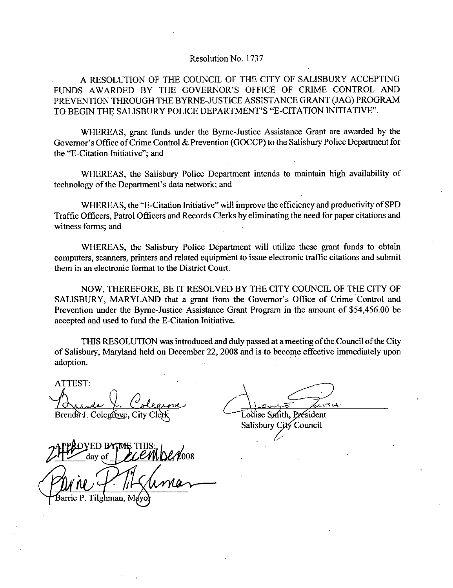## Resolution No. 1737

A RESOLUTION OF THE COUNCIL OF THE CITY OF SALISBURY ACCEPTING Resolution No. 1737<br>A RESOLUTION OF THE COUNCIL OF THE CITY OF SALISBURY ACCEPTING<br>FUNDS AWARDED BY THE GOVERNOR'S OFFICE OF CRIME CONTROL AND<br>PREVENTION THROUGH THE BYRNE-JUSTICE ASSISTANCE GRANT (JAG) PROGRAM<br>TO BEGIN TH FUNDS AWARDED BY THE GOVERNOR'S OFFICE OF CRIME CONTROL AND<br>PREVENTION THROUGH THE BYRNE-JUSTICE ASSISTANCE GRANT (JAG) PROGRAM Resolution No. 1737<br>A RESOLUTION OF THE COUNCIL OF THE CITY OF SALISBURY ACCEP<br>FUNDS AWARDED BY THE GOVERNOR'S OFFICE OF CRIME CONTROL<br>PREVENTION THROUGH THE BYRNE-JUSTICE ASSISTANCE GRANT (JAG) PROC<br>TO BEGIN THE SALISBURY FUNDS AWARDED BY THE GOVERNOR'S OFFICE OF CRIME CONTROL AND<br>PREVENTION THROUGH THE BYRNE-JUSTICE ASSISTANCE GRANT (JAG) PROGRAM<br>TO BEGIN THE SALISBURY POLICE DEPARTMENT'S "E-CITATION INITIATIVE".<br>WHEREAS, grant funds under

WHEREAS, grant funds under the Byrne-Justice Assistance Grant are awarded by the TO BEGIN THE SALISBURY POLICE DEPARTMENT'S "E-CITATION INITIATIVE".<br>WHEREAS, grant funds under the Byrne-Justice Assistance Grant are awarded by the<br>Governor's Office of Crime Control & Prevention (GOCCP) to the Salisbury TO BEGIN THE SALISBURY PRESERTS (SUPPREAS, grant funds<br>Governor's Office of Crime Cont<br>the "E-Citation Initiative"; and<br>WHEREAS, the Salisbu<br>technology of the Department's of<br>WHEREAS, the "E-Citat

WHEREAS, the Salisbury Police Department intends to maintain high availability of technology of the Department's data network; and

WHEREAS, the "E-Citation Initiative" will improve the efficiency and productivity of SPD Traffic Officers, Patrol Officers and Records Clerks by eliminating the need for paper citations and witness forms; and

WHEREAS, the Salisbury Police Department will utilize these grant funds to obtain computers, scanners, printers and related equipment to issue electronic traffic citations and submit them in an electronic format to the District Court

NOW, THEREFORE, BE IT RESOLVED BY THE CITY COUNCIL OF THE CITY OF SALISBURY, MARYLAND that a grant from the Governor's Office of Crime Control and WHEREAS, the Salisbury Police Department will utilize these grant funds to obtain<br>computers, scanners, printers and related equipment to issue electronic traffic citations and submit<br>them in an electronic format to the Dis NOW, THEREFORE, BE IT RESOLVED BY THE CITY COUNCIL OF THE CITY OF<br>SALISBURY, MARYLAND that a grant from the Governor's Office of Crime Control and<br>Prevention under the Byrne-Justice Assistance Grant Program in the amount o NOW, THEREFORE, BE IT RESOLVED<br>SALISBURY, MARYLAND that a grant from 1<br>Prevention under the Byrne-Justice Assistance G<br>accepted and used to fund the E-Citation Initiative.

THIS RESOLUTION was introduced and duly passed at ameeting ofthe Council ofthe City of Salisbury, Maryland held on December 22, 2008 and is to become effective immediately upon adoption

ATTEST Brenda J. Colegrove. City Clerk [outse Smith. President

Salisbury City Council

of Sansa<br>adoption<br>ATTEST<br>Brendary<br>2.1 PM M ED  $12/2008$ dav of  $\overline{P}$ Tilghman. M